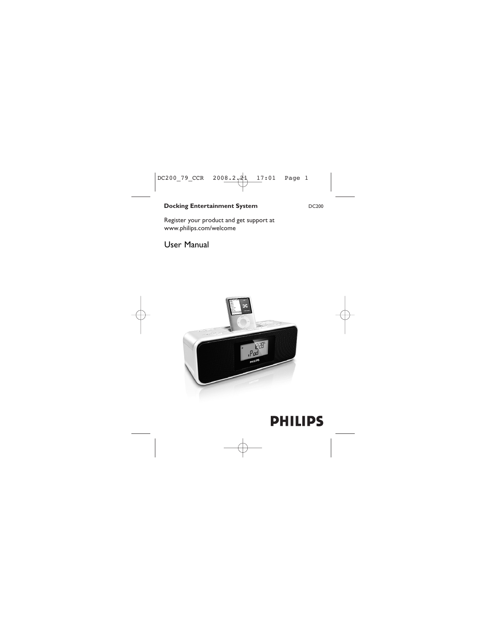### **Docking Entertainment System** DC200

Register your product and get support at www.philips.com/welcome

User Manual



# **PHILIPS**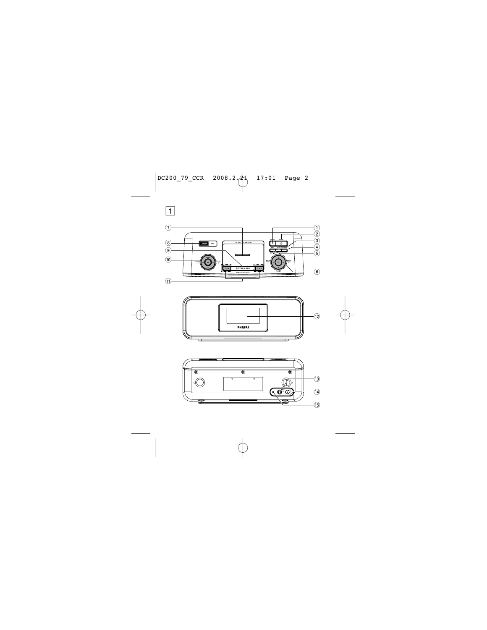



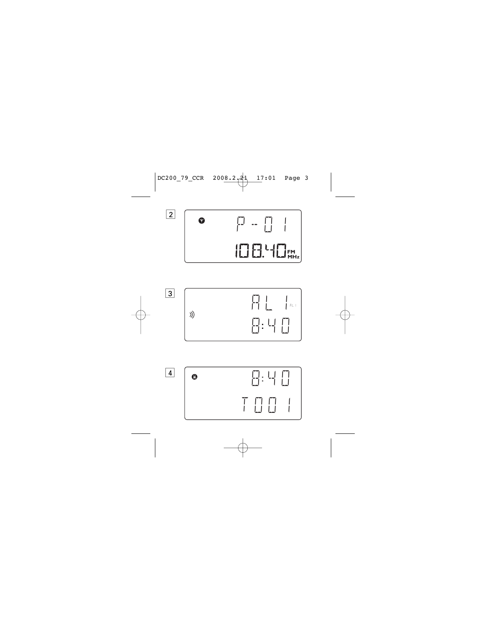



4



2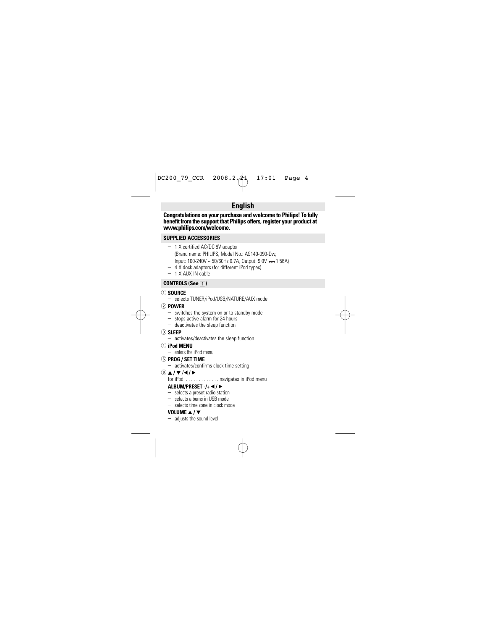## **English**

**Congratulations on your purchase and welcome to Philips! To fully benefit from the support that Philips offers, register your product at www.philips.com/welcome.**

#### **SUPPLIED ACCESSORIES**

- 1 X certified AC/DC 9V adaptor (Brand name: PHILIPS, Model No.: AS140-090-Dw,  $Input: 100-240V \sim 50/60Hz$  0.7A, Output:  $9.0V$  == 1.56A)
- 4 X dock adaptors (for different iPod types)
- 1 X AUX-IN cable

## **CONTROLS (See 11)**

#### 1 **SOURCE**

- selects TUNER/iPod/USB/NATURE/AUX mode
- 2 **POWER**
	- switches the system on or to standby mode
	- stops active alarm for 24 hours
	- deactivates the sleep function
- 3 **SLEEP** 
	- activates/deactivates the sleep function
- 4 **iPod MENU** 
	- enters the iPod menu

### 5 **PROG / SET TIME**

– activates/confirms clock time setting

# $\frac{6}{2}$   $\frac{\triangle}{\sqrt{7}}$  /  $\triangle$  /  $\triangleright$

. navigates in iPod menu

### **ALBUM/PRESET -/+**  $\blacktriangleleft$  **/**  $\blacktriangleright$

- selects a preset radio station
- selects albums in USB mode
- selects time zone in clock mode

## **VOLUME**  $\angle$  **/**  $\angle$

– adjusts the sound level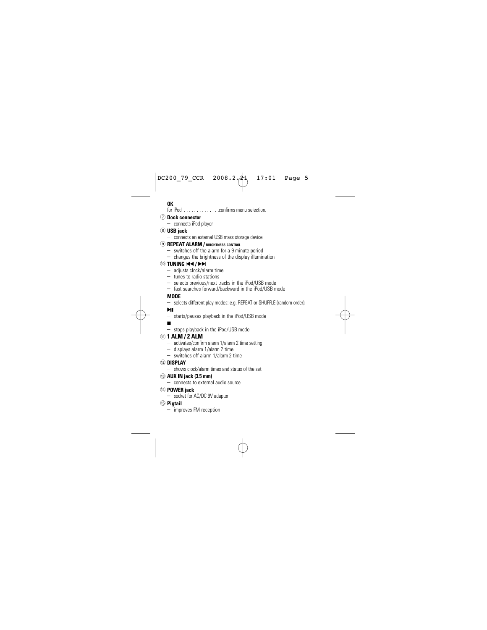#### **OK**

for iPod . . . . . . . . . . . . . .confirms menu selection.

#### 7 **Dock connector**

– connects iPod player

#### 8 **USB jack**

– connects an external USB mass storage device

#### 9 **REPEAT ALARM / BRIGHTNESS CONTROL**

- switches off the alarm for a 9 minute period
- changes the brightness of the display illumination

### **10 TUNING**  $\blacktriangleleft$  **/**  $\blacktriangleright$

- adjusts clock/alarm time
- tunes to radio stations
- selects previous/next tracks in the iPod/USB mode
- fast searches forward/backward in the iPod/USB mode

## **MODE**

– selects different play modes: e.g. REPEAT or SHUFFLE (random order).

#### $\mathbf{H}$

– starts/pauses playback in the iPod/USB mode

## 9

– stops playback in the iPod/USB mode

- ! **1 ALM / 2 ALM**  activates/confirm alarm 1/alarm 2 time setting
	- displays alarm 1/alarm 2 time
	- switches off alarm 1/alarm 2 time

## @ **DISPLAY**

– shows clock/alarm times and status of the set

#### # **AUX IN jack (3.5 mm)**

- connects to external audio source
- \$ **POWER jack**
	- socket for AC/DC 9V adaptor
- % **Pigtail**
	- improves FM reception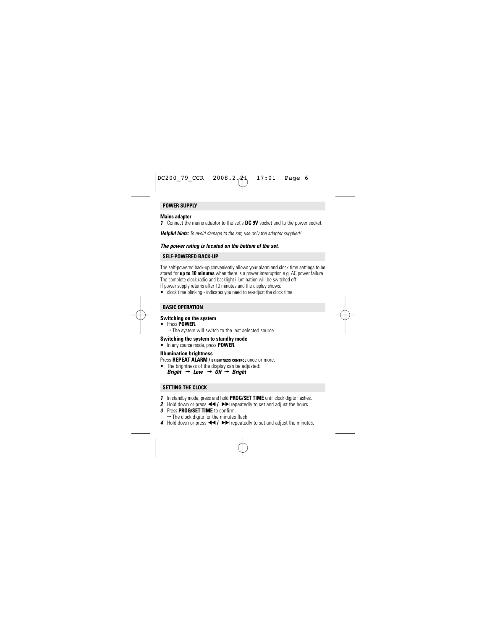#### **POWER SUPPLY**

#### **Mains adaptor**

*1* Connect the mains adaptor to the set's **DC 9V** socket and to the power socket.

*Helpful hints: To avoid damage to the set, use only the adaptor supplied!*

#### *The power rating is located on the bottom of the set.*

#### **SELF-POWERED BACK-UP**

The self-powered back-up conveniently allows your alarm and clock time settings to be stored for **up to 10 minutes** when there is a power interruption e.g. AC power failure. The complete clock radio and backlight illumination will be switched off.<br>If power supply returns after 10 minutes and the display shows:

• clock time blinking - indicates you need to re-adjust the clock time.

#### **BASIC OPERATION** .

## **Switching on the system**

- 
- Press **POWER**.<br>→ The system will switch to the last selected source.

#### **Switching the system to standby mode**

• In any source mode, press **POWER**.

#### **Illumination brightness**

Press **REPEAT ALARM / BRIGHTNESS CONTROL** once or more.

• The brightness of the display can be adjusted:

*Bright* → *Low* → *Off* → *Bright* 

#### **SETTING THE CLOCK**

- *1* In standby mode, press and hold **PROG/SET TIME** until clock digits flashes.
- *2* Hold down or press **III /** > DI repeatedly to set and adjust the hours.<br>*3* Press PROG/SET TIME to confirm.
- 
- **3** Press **PROG/SET TIME** to confirm.<br>→ The clock digits for the minutes flash.
- *4* Hold down or press  $\blacktriangleleft$  /  $\blacktriangleright$   $\blacktriangleright$  repeatedly to set and adjust the minutes.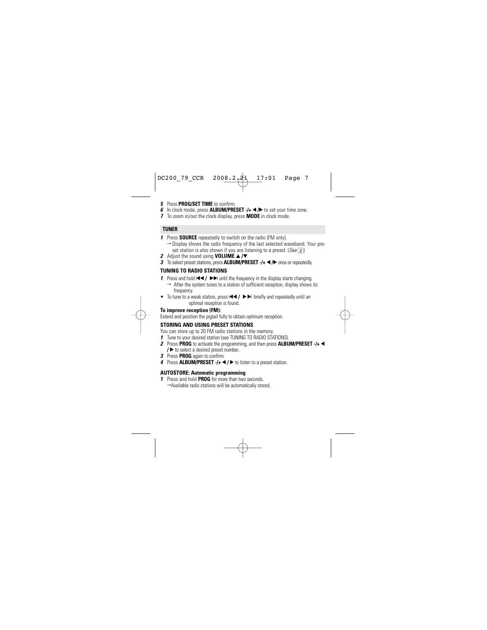- *5* Press **PROG/SET TIME** to confirm.
- *6* In clock mode, press ALBUM/PRESET -/+ ◀/► to set your time zone.
- *7* To zoom in/out the clock display, press **MODE** in clock mode.

#### **TUNER**

- *1* Press **SOURCE** repeatedly to switch on the radio (FM only).
	- → Display shows the radio frequency of the last selected waveband. Your preset station is also shown if you are listening to a preset. (*See* 2)
- **2** Adjust the sound using **VOLUME** ▲ /▼
- **3** To select preset stations, press **ALBUM/PRESET** -/+ ◀/▶ once or repeatedly.

### **TUNING TO RADIO STATIONS**

- **1** Press and hold **↓**  $\blacktriangleleft$  /  $\blacktriangleright$   $\blacktriangleright$  until the frequency in the display starts changing.
	- → After the system tunes to a station of sufficient reception, display shows its frequency.
- To tune to a weak station, press  $\leftarrow$  /  $\rightarrow$   $\rightarrow$  briefly and repeatedly until an optimal reception is found.

#### **To improve reception (FM):**

Extend and position the pigtail fully to obtain optimum reception.

### **STORING AND USING PRESET STATIONS**

You can store up to 20 FM radio stations in the memory.

- *1* Tune to your desired station (see TUNING TO RADIO STATIONS).
- *2* Press **PROG** to activate the programming, and then press **ALBUM/PRESET -/+** 1 **/** 2 to select a desired preset number.
- *3* Press **PROG** again to confirm.
- *4* Press **ALBUM/PRESET** -/+ ◀/ ▶ to listen to a preset station.

#### **AUTOSTORE: Automatic programming**

*1* Press and hold **PROG** for more than two seconds. →Available radio stations will be automatically stored.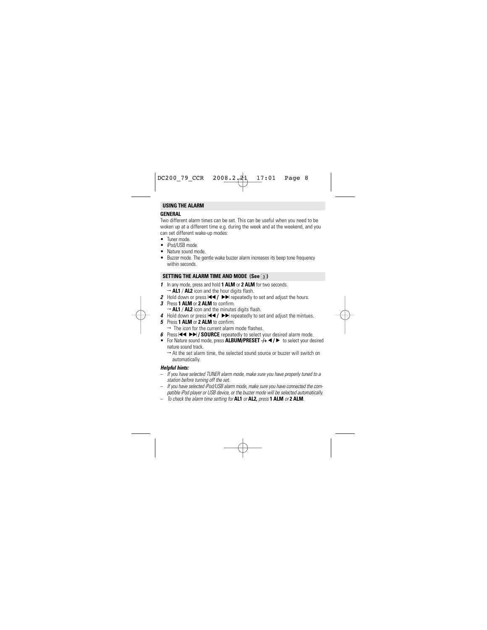#### **USING THE ALARM**

#### **GENERAL**

Two different alarm times can be set. This can be useful when you need to be woken up at a different time e.g. during the week and at the weekend, and you can set different wake-up modes:

- Tuner mode.
- iPod/USB mode
- Nature sound mode.
- Buzzer mode. The gentle wake buzzer alarm increases its beep tone frequency within seconds.

#### **SETTING THE ALARM TIME AND MODE (See** 3**)**

- *1* In any mode, press and hold **1 ALM** or **2 ALM** for two seconds.
	- → **AL1** / **AL2** icon and the hour digits flash.
- **2** Hold down or press  $\blacktriangleleft$  /  $\blacktriangleright$  repeatedly to set and adjust the hours.
- *3* Press **1 ALM** or **2 ALM** to confirm.
	- → **AL1** / **AL2** icon and the minutes digits flash.
- *4* Hold down or press  $\left\{ \blacktriangleleft \right\}$   $\blacktriangleright$  repeatedly to set and adjust the mintues.
- *5* Press **1 ALM** or **2 ALM** to confirm.
	- $\rightarrow$  The icon for the current alarm mode flashes.
- *6* Press **EEE** *PDI* / SOURCE repeatedly to select your desired alarm mode.
- For Nature sound mode, press **ALBUM/PRESET**  $\rightarrow$  1 **+**  $\rightarrow$  to select your desired nature sound track.
	- → At the set alarm time, the selected sound source or buzzer will switch or automatically.

#### *Helpful hints:*

- *If you have selected TUNER alarm mode*, *make sure you have properly tuned to a station before turning off the set.*
- *If you have selected iPod/USB alarm mode*, *make sure you have connected the compatible iPod player or USB device, or the buzzer mode will be selected automatically.*
- *To check the alarm time setting for* **AL1** *or* **AL2,** *press* **1 ALM** *or* **2 ALM***.*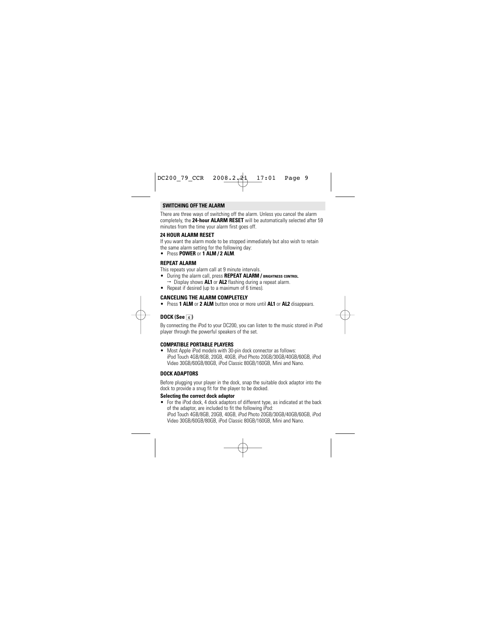#### **SWITCHING OFF THE ALARM**

There are three ways of switching off the alarm. Unless you cancel the alarm completely, the **24-hour ALARM RESET** will be automatically selected after 59 minutes from the time your alarm first goes off.

#### **24 HOUR ALARM RESET**

If you want the alarm mode to be stopped immediately but also wish to retain the same alarm setting for the following day:

• Press **POWER** or **1 ALM / 2 ALM**.

#### **REPEAT ALARM**

This repeats your alarm call at 9 minute intervals.

- During the alarm call, press **REPEAT ALARM / BRIGHTNESS CONTROL**.
	- → Display shows **AL1** or **AL2** flashing during a repeat alarm.
- Repeat if desired (up to a maximum of 6 times).

#### **CANCELING THE ALARM COMPLETELY**

• Press **1 ALM** or **2 ALM** button once or more until **AL1** or **AL2** disappears.

### **DOCK (See**  $\boxed{4}$ **)**

By connecting the iPod to your DC200, you can listen to the music stored in iPod player through the powerful speakers of the set.

#### **COMPATIBLE PORTABLE PLAYERS**

• Most Apple iPod models with 30-pin dock connector as follows: iPod Touch 4GB/8GB, 20GB, 40GB, iPod Photo 20GB/30GB/40GB/60GB, iPod Video 30GB/60GB/80GB, iPod Classic 80GB/160GB, Mini and Nano.

#### **DOCK ADAPTORS**

Before plugging your player in the dock, snap the suitable dock adaptor into the dock to provide a snug fit for the player to be docked.

#### **Selecting the correct dock adaptor**

• For the iPod dock, 4 dock adaptors of different type, as indicated at the back of the adaptor, are included to fit the following iPod: iPod Touch 4GB/8GB, 20GB, 40GB, iPod Photo 20GB/30GB/40GB/60GB, iPod Video 30GB/60GB/80GB, iPod Classic 80GB/160GB, Mini and Nano.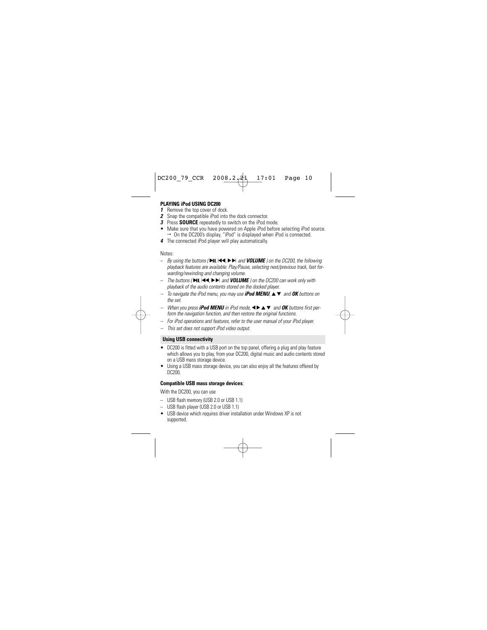#### **PLAYING iPod USING DC200**

- **1** Remove the top cover of dock.
- *2* Snap the compatible iPod into the dock connector.
- *3* Press **SOURCE** repeatedly to switch on the iPod mode.
- Make sure that you have powered on Apple iPod before selecting iPod source.  $\rightarrow$  On the DC200's display, "iPod" is displayed when iPod is connected.
- *4* The connected iPod player will play automatically.

Notes:

- *By using the buttons (* 2;*,* ¡1*,* 2™ *and VOLUME ) on the DC200, the following playback features are available: Play/Pause, selecting next/previous track, fast forwarding/rewinding and changing volume.*
- *The buttons (* 2;*,* ¡1*,* 2™ *and VOLUME ) on the DC200 can work only with playback of the audio contents stored on the docked player.*
- *To navigate the iPod menu, you may use iPod MENU,* 34 *and OK buttons on the set.*
- *– When you press <i>iPod MENU* in *iPod mode*, **4** ▶ ▲ ▼ and *OK buttons first perform the navigation function, and then restore the original functions.*
- *For iPod operations and features, refer to the user manual of your iPod player.*
- *This set does not support iPod video output.*

#### **Using USB connectivity**

- DC200 is fitted with a USB port on the top panel, offering a plug and play feature which allows you to play, from your DC200, digital music and audio contents stored on a USB mass storage device.
- Using a USB mass storage device, you can also enjoy all the features offered by DC200.

#### **Compatible USB mass storage devices**:

With the DC200, you can use

- USB flash memory (USB 2.0 or USB 1.1)
- USB flash player (USB 2.0 or USB 1.1)
- USB device which requires driver installation under Windows XP is not supported.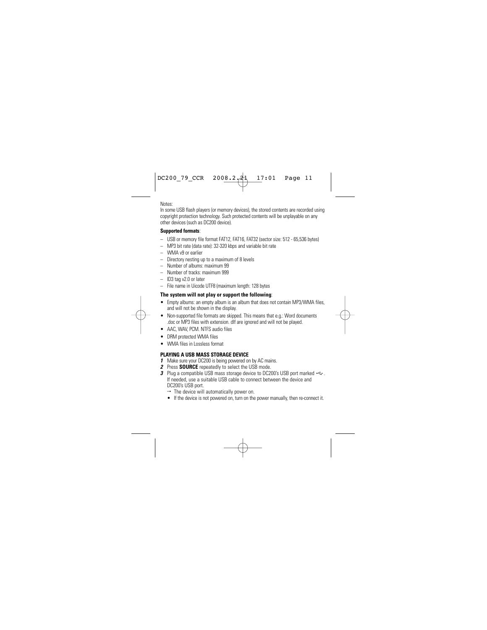Notes:

In some USB flash players (or memory devices), the stored contents are recorded using copyright protection technology. Such protected contents will be unplayable on any other devices (such as DC200 device).

#### **Supported formats**:

- USB or memory file format FAT12, FAT16, FAT32 (sector size: 512 65,536 bytes)
- MP3 bit rate (data rate): 32-320 kbps and variable bit rate
- WMA v9 or earlier
- Directory nesting up to a maximum of 8 levels
- Number of albums: maximum 99
- Number of tracks: maximum 999
- ID3 tag v2.0 or later
- File name in Uicode UTF8 (maximum length: 128 bytes

- **The system will not play or support the following:** Fmpty albums: an empty album is an album that does not contain MP3/WMA files. and will not be shown in the display.
- Non-supported file formats are skipped. This means that e.g.: Word documents .doc or MP3 files with extension. dlf are ignored and will not be played.
- AAC, WAV, PCM. NTFS audio files
- DRM protected WMA files
- WMA files in Lossless format

### **PLAYING A USB MASS STORAGE DEVICE**

- *1* Make sure your DC200 is being powered on by AC mains.
- *2* Press **SOURCE** repeatedly to select the USB mode.
- 3 Plug a compatible USB mass storage device to DC200's USB port marked  $\leftarrow$ . If needed, use a suitable USB cable to connect between the device and DC200's USB port.
	- $\rightarrow$  The device will automatically power on.
	- If the device is not powered on, turn on the power manually, then re-connect it.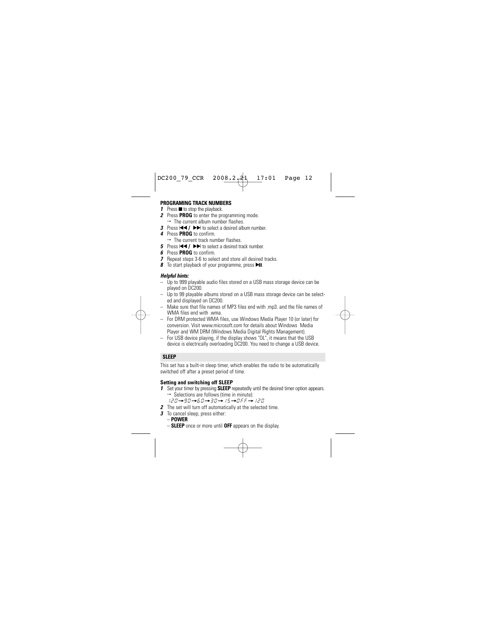#### **PROGRAMING TRACK NUMBERS**

- **1** Press  $\blacksquare$  to stop the playback.
- *2* Press **PROG** to enter the programming mode.
	- $\rightarrow$  The current album number flashes.
- *3* Press III /  $\blacktriangleright$   $\blacktriangleright$  to select a desired album number.
- *4* Press **PROG** to confirm.
	- $\rightarrow$  The current track number flashes.
- *5* Press III /  $\blacktriangleright$  **/** to select a desired track number.
- *6* Press **PROG** to confirm.
- *7* Repeat steps 3-6 to select and store all desired tracks.
- **8** To start playback of your programme, press  $\blacktriangleright$ **II**.

#### *Helpful hints:*

- Up to 999 playable audio files stored on a USB mass storage device can be played on DC200.
- Up to 99 playable albums stored on a USB mass storage device can be selected and displayed on DC200.
- Make sure that file names of MP3 files end with .mp3. and the file names of WMA files end with .wma.
- For DRM protected WMA files, use Windows Media Player 10 (or later) for conversion. Visit www.microsoft.com for details about Windows Media Player and WM DRM (Windows Media Digital Rights Management).
- For USB device playing, if the display shows "OL", it means that the USB device is electrically overloading DC200. You need to change a USB device.

#### **SLEEP**

This set has a built-in sleep timer, which enables the radio to be automatically switched off after a preset period of time.

#### **Setting and switching off SLEEP**

- *1* Set your timer by pressing **SLEEP** repeatedly until the desired timer option appears.  $\rightarrow$  Selections are follows (time in minute):
	- 120=90=60=30=15=OFF=120
- *2* The set will turn off automatically at the selected time.
- *3* To cancel sleep, press either:
	- **POWER**
	- **SLEEP** once or more until **OFF** appears on the display.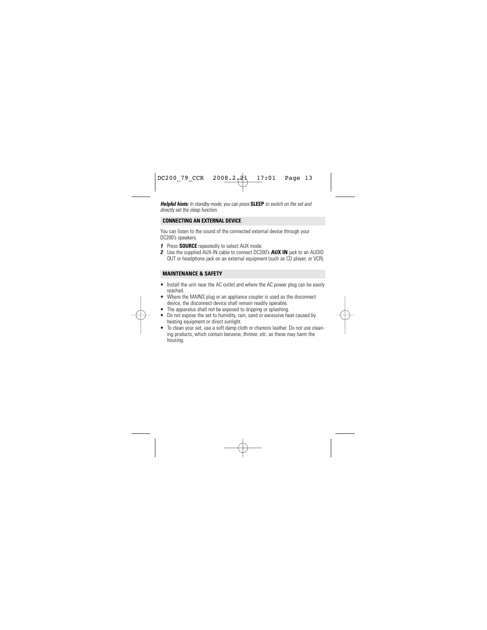*Helpful hints: In standby mode, you can press* **SLEEP** *to switch on the set and directly set the sleep function.*

#### **CONNECTING AN EXTERNAL DEVICE**

You can listen to the sound of the connected external device through your DC200's speakers.

- *1* Press **SOURCE** repeatedly to select AUX mode.
- *2* Use the supplied AUX-IN cable to connect DC200's **AUX IN** jack to an AUDIO OUT or headphone jack on an external equipment (such as CD player, or VCR).

#### **MAINTENANCE & SAFETY**

- Install the unit near the AC outlet and where the AC power plug can be easily reached.
- Where the MAINS plug or an appliance coupler is used as the disconnect device, the disconnect device shall remain readily operable.
- The apparatus shall not be exposed to dripping or splashing.
- Do not expose the set to humidity, rain, sand or excessive heat caused by heating equipment or direct sunlight.
- To clean your set, use a soft damp cloth or chamois leather. Do not use cleaning products, which contain benzene, thinner, etc. as these may harm the housing.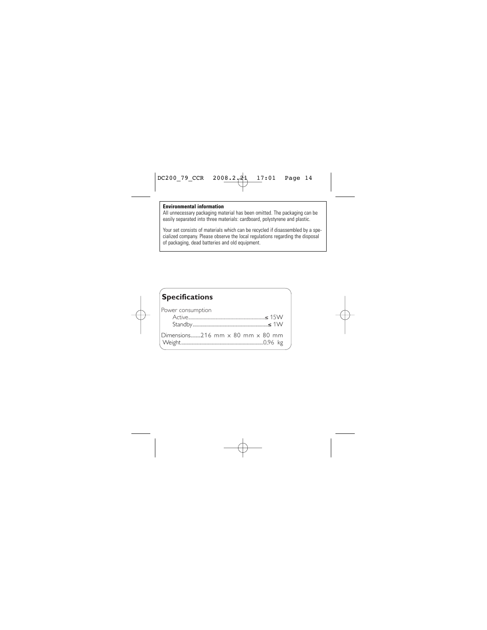#### **Environmental information**

All unnecessary packaging material has been omitted. The packaging can be easily separated into three materials: cardboard, polystyrene and plastic.

Your set consists of materials which can be recycled if disassembled by a specialized company. Please observe the local regulations regarding the disposal of packaging, dead batteries and old equipment.

| <b>Specifications</b>                          |  |
|------------------------------------------------|--|
| Power consumption                              |  |
| Dimensions216 mm $\times$ 80 mm $\times$ 80 mm |  |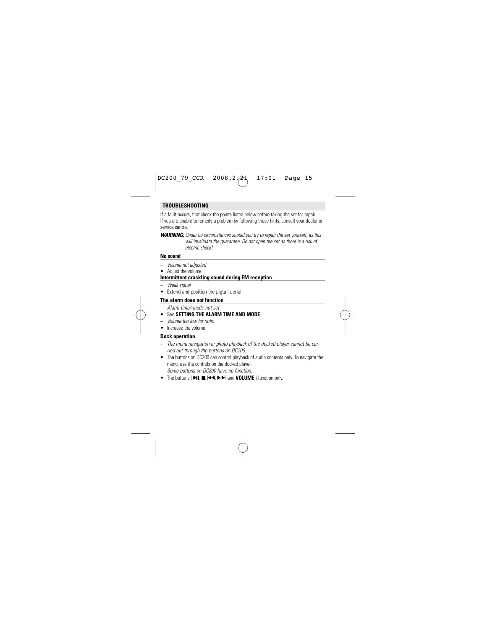#### **TROUBLESHOOTING**

If a fault occurs, first check the points listed below before taking the set for repair. If you are unable to remedy a problem by following these hints, consult your dealer or service centre.

*WARNING: Under no circumstances should you try to repair the set yourself, as this will invalidate the guarantee. Do not open the set as there is a risk of electric shock!*

#### **No sound**

- *Volume not adjusted*
- Adjust the volume

#### **Intermittent crackling sound during FM reception**

- *Weak signal*
- Extend and position the pigtail aerial

#### **The alarm does not function**

- *Alarm time/ mode not set*
- See **SETTING THE ALARM TIME AND MODE**
- *Volume too low for radio*
- Increase the volume

#### **Dock operation**

- *The menu navigation or photo playback of the docked player cannot be carried out through the buttons on DC200.*
- The buttons on DC200 can control playback of audio contents only. To navigate the menu, use the controls on the docked player.
- *Some buttons on DC200 have no function.*
- The buttons ( 2;*,* 9*,* ¡1*,* 2™ and **VOLUME** *)* function only.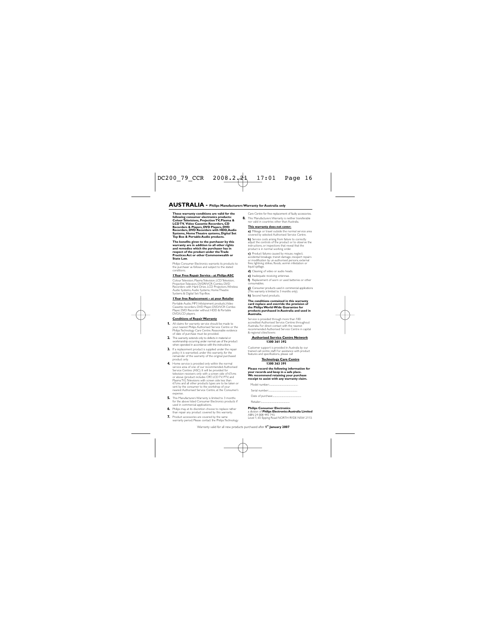**These warranty conditions are valid for the following consumer electronics products: Colour Televisions, Projection TV, Plasma & LCD TV, Video Cassette Recorders, CD Recorders & Players, DVD Players, DVD Recorders, DVD Recorders with HDD, Audio Systems, Home Theatre systems, Digital Set Top Box & Portable Audio products.**

**The benefits given to the purchaser by this warranty are in addition to all other rights and remedies which the purchaser has in respect of the product under the Trade Practices Act or other Commonwealth or State Law.**

Philips Consumer Electronics warrants its products to the purchaser as follows and subject to the stated conditions.

#### **1 Year Free Repair Service - at Philips ASC**

Colour Television, Plasma Television, LCD Television, Projection Televsion, DVDR/VCR Combo, DVD Recorders with Hard Drive, LCD Projectors, Wireless Audio Systems, Audio Systems, Home Theatre Systems & Digital Set-Top-Box.

#### **1 Year free Replacement – at your Retailer**

Portable Audio, MP3 Infotainment products, Video Cassette recorders, DVD Player, DVD/VCR Combo Player, DVD Recorder without HDD & Portable DVD/LCD players.

#### **Conditions of Repair Warranty**

- **1.** All claims for warranty service should be made to your nearest Philips Authorised Service Centre or the Philips Technology Care Centre. Reasonable evidence of date of purchase must be provided.
- **2.** This warranty extends only to defects in material or workmanship occurring under normal use of the product when operated in accordance with the instructions.
- **3.** If a replacement product is supplied under the repair policy it is warranted, under this warranty, for the remainder of the warranty of the original purchased product only.
- **4.** Home service is provided only within the normal service area of one of our recommended Authorised Service Centres (ASC). It will be provided for television receivers only with a screen side of 67cms or above (product includes CRT LCD TV, PTV, and Plasma TV). Televisions with screen side less than 67cms and all other products types are to be taken or sent by the consumer to the workshop of your nearest Authorised Service Centre, at the Consumer's expense.
- **5.** This Manufacturers Warranty is limited to 3 months for the above listed Consumer Electronics products if used in commercial applications.
- **6.** Philips may, at its discretion choose to replace rather than repair any product covered by this warranty.
- **7.** Product accessories are covered by the same warranty period. Please contact the Philips Technology

Care Centre for free replacement of faulty accessories.

**8.** This Manufacturers Warranty is neither transferable nor valid in countries other than Australia.

#### **This warranty does not cover:**

**a)** Mileage or travel outside the normal service area covered by selected Authorised Service Centre.

**b)** Service costs arising from failure to correctly adjust the controls of the product or to observe the instructions, or inspections that reveal that the product is in normal working order.

**c)** Product failures caused by misuse, neglect, accidental breakage, transit damage, inexpert repairs or modification by un-authorised persons, external fires, lightning strikes, floods, vermin infestation or liquid spillage.

- **d)** Cleaning of video or audio heads.
- **e)** Inadequate receiving antennae.

**f)** Replacement of worn or used batteries or other consumables.

**g)** Consumer products used in commercial applications (This warranty is limited to 3 months only).

**h)** Second hand products.

#### **The conditions contained in this warranty card replace and override the provision of the Philips World-Wide Guarantee for products purchased in Australia and used in Australia.**

Service is provided through more than 100 accredited Authorised Service Centres throughout Australia. For direct contact with the nearest recommended Authorised Service Centre in capital & regional cities/towns

#### **Authorised Service Centre Network 1300 361 392**

Customer support is provided in Australia by our trained call centre staff. For assistance with product features and specifications, please call

#### **Technology Care Centre 1300 363 391**

**Please record the following information for your records and keep in a safe place. We recommend retaining your purchase receipt to assist with any warranty claim.**

Model number:..

Serial number:.....

Date of purchase:......

Retailer:.....

#### **Philips Consumer Electronics**

a division of **Philips Electronics Australia Limited** ABN 24 008 445 743, Level 1, 65 Epping Road NORTH RYDE NSW 2113.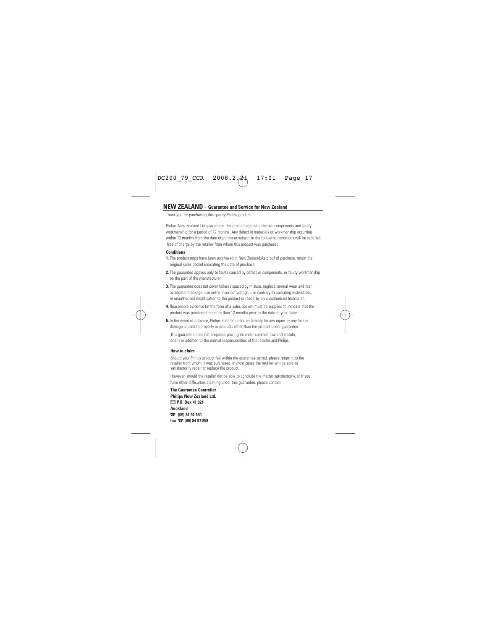#### **NEW ZEALAND - Guarantee and Service for New Zealand**

Thank-you for purchasing this quality Philips product.

Philips New Zealand Ltd guarantees this product against defective components and faulty workmanship for a period of 12 months. Any defect in materials or workmanship occurring within 12 months from the date of purchase subject to the following conditions will be rectified free of charge by the retailer from whom this product was purchased.

#### **Conditions**

- **1.** The product must have been purchased in New Zealand.As proof of purchase, retain the original sales docket indicating the date of purchase.
- **2.** The guarantee applies only to faults caused by defective components, or faulty workmanship on the part of the manufacturer.
- **3.** The quarantee does not cover failures caused by misuse, neglect, normal wear and tear, accidental breakage, use onthe incorrect voltage, use contrary to operating instructions, or unauthorised modification to the product or repair by an unauthorised technician.
- **4.** Reasonable evidence (in the form of a sales docket) must be supplied to indicate that the product was purchased no more than 12 months prior to the date of your claim.
- **5.** In the event of a failure, Philips shall be under no liability for any injury, or any loss or damage caused to property or products other than the product under guarantee.

This guarantee does not prejudice your rights under common law and statute, and is in addition to the normal responsibilities of the retailer and Philips.

#### **How to claim**

Should your Philips product fail within the guarantee period, please return it to the retailer from whom it was purchased. In most cases the retailer will be able to satisfactorily repair or replace the product.

However, should the retailer not be able to conclude the matter satisfactorily, or if you have other difficulties claiming under this guarantee, please contact

**The Guarantee Controller Philips New Zealand Ltd.** 4 **P.O. Box 41.021 Auckland** 3 **(09) 84 94 160 fax** 3 **(09) 84 97 858**